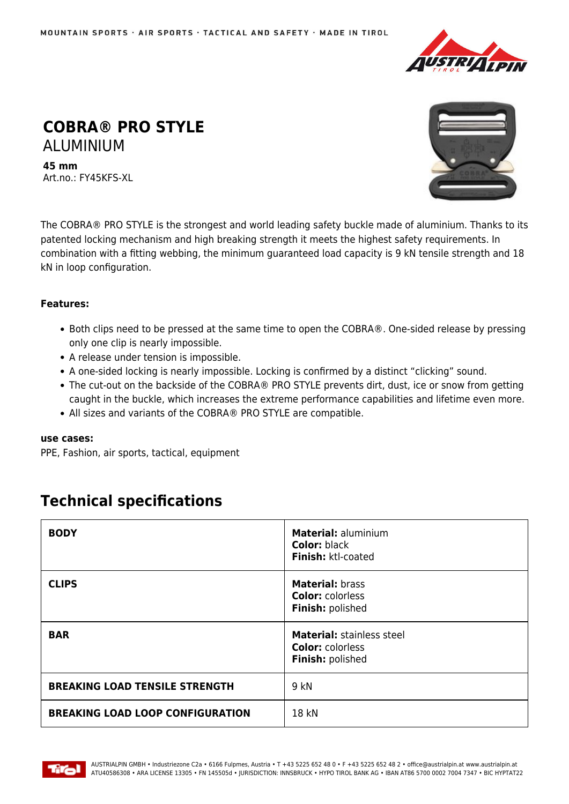

# **COBRA® PRO STYLE** ALUMINIUM

**45 mm** Art.no.: FY45KFS-XL



The COBRA® PRO STYLE is the strongest and world leading safety buckle made of aluminium. Thanks to its patented locking mechanism and high breaking strength it meets the highest safety requirements. In combination with a fitting webbing, the minimum guaranteed load capacity is 9 kN tensile strength and 18 kN in loop configuration.

## **Features:**

- Both clips need to be pressed at the same time to open the COBRA®. One-sided release by pressing only one clip is nearly impossible.
- A release under tension is impossible.
- A one-sided locking is nearly impossible. Locking is confirmed by a distinct "clicking" sound.
- The cut-out on the backside of the COBRA® PRO STYLE prevents dirt, dust, ice or snow from getting caught in the buckle, which increases the extreme performance capabilities and lifetime even more.
- All sizes and variants of the COBRA® PRO STYLE are compatible.

### **use cases:**

PPE, Fashion, air sports, tactical, equipment

## **Technical specifications**

| <b>BODY</b>                             | <b>Material: aluminium</b><br><b>Color: black</b><br>Finish: ktl-coated         |
|-----------------------------------------|---------------------------------------------------------------------------------|
| <b>CLIPS</b>                            | <b>Material: brass</b><br><b>Color: colorless</b><br>Finish: polished           |
| <b>BAR</b>                              | <b>Material: stainless steel</b><br><b>Color: colorless</b><br>Finish: polished |
| <b>BREAKING LOAD TENSILE STRENGTH</b>   | 9 kN                                                                            |
| <b>BREAKING LOAD LOOP CONFIGURATION</b> | 18 kN                                                                           |

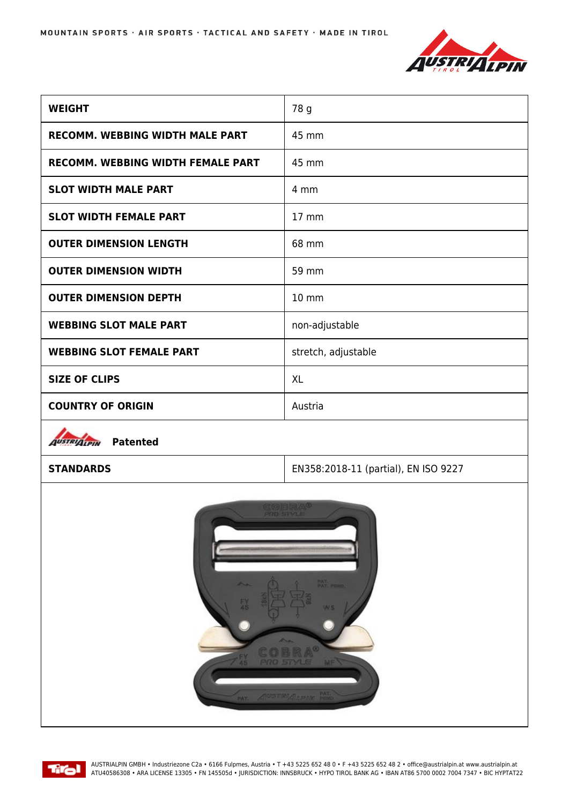

| <b>WEIGHT</b>                            | 78 g                |
|------------------------------------------|---------------------|
| RECOMM. WEBBING WIDTH MALE PART          | 45 mm               |
| <b>RECOMM. WEBBING WIDTH FEMALE PART</b> | 45 mm               |
| <b>SLOT WIDTH MALE PART</b>              | 4 mm                |
| <b>SLOT WIDTH FEMALE PART</b>            | $17 \text{ mm}$     |
| <b>OUTER DIMENSION LENGTH</b>            | 68 mm               |
| <b>OUTER DIMENSION WIDTH</b>             | 59 mm               |
| <b>OUTER DIMENSION DEPTH</b>             | 10 mm               |
| <b>WEBBING SLOT MALE PART</b>            | non-adjustable      |
| <b>WEBBING SLOT FEMALE PART</b>          | stretch, adjustable |
| <b>SIZE OF CLIPS</b>                     | <b>XL</b>           |
| <b>COUNTRY OF ORIGIN</b>                 | Austria             |



**STANDARDS** EN358:2018-11 (partial), EN ISO 9227





AUSTRIALPIN GMBH • Industriezone C2a • 6166 Fulpmes, Austria • T +43 5225 652 48 0 • F +43 5225 652 48 2 • office@austrialpin.at www.austrialpin.at ATU40586308 • ARA LICENSE 13305 • FN 145505d • JURISDICTION: INNSBRUCK • HYPO TIROL BANK AG • IBAN AT86 5700 0002 7004 7347 • BIC HYPTAT22